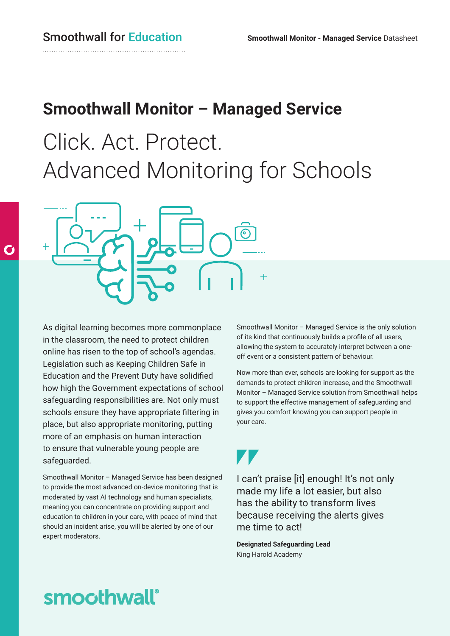G

# **Smoothwall Monitor – Managed Service** Click. Act. Protect. Advanced Monitoring for Schools



As digital learning becomes more commonplace in the classroom, the need to protect children online has risen to the top of school's agendas. Legislation such as Keeping Children Safe in Education and the Prevent Duty have solidified how high the Government expectations of school safeguarding responsibilities are. Not only must schools ensure they have appropriate filtering in place, but also appropriate monitoring, putting more of an emphasis on human interaction to ensure that vulnerable young people are safeguarded.

Smoothwall Monitor – Managed Service has been designed to provide the most advanced on-device monitoring that is moderated by vast AI technology and human specialists, meaning you can concentrate on providing support and education to children in your care, with peace of mind that should an incident arise, you will be alerted by one of our expert moderators.

Smoothwall Monitor – Managed Service is the only solution of its kind that continuously builds a profile of all users, allowing the system to accurately interpret between a oneoff event or a consistent pattern of behaviour.

Now more than ever, schools are looking for support as the demands to protect children increase, and the Smoothwall Monitor – Managed Service solution from Smoothwall helps to support the effective management of safeguarding and gives you comfort knowing you can support people in your care.

I can't praise [it] enough! It's not only made my life a lot easier, but also has the ability to transform lives because receiving the alerts gives me time to act!

**Designated Safeguarding Lead**  King Harold Academy

## smoothwall®